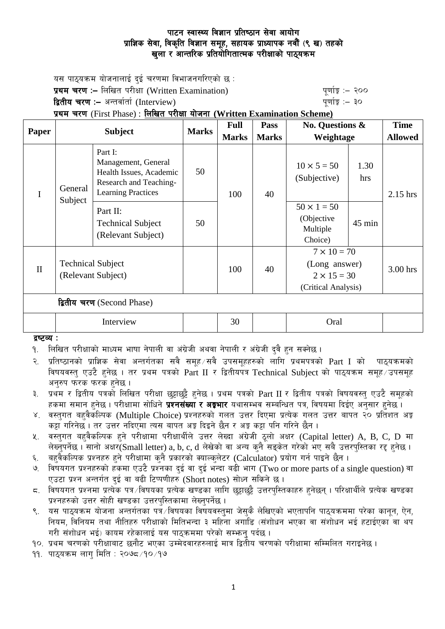यस पाठ्यक्रम योजनालाई दुई चरणमा विभाजनगरिएको छ $\,$ : प्रथम चरण :- लिखित परीक्षा (Written Examination)  $q$ णांकु :- २०० **द्वितीय चरण :–** अन्तर्वार्ता (Interview) kathlo-setting and the setting the setting  $\frac{1}{2}$  and  $\frac{1}{2}$ प्रथम चरण (First Phase) : लिखित परीक्षा योजना (Written Examination Scheme) **Paper Subject Marks Full Marks Pass Marks No. Questions & Weightage Time Allowed** I General Subject Part I: Management, General Health Issues, Academic Research and Teaching-Learning Practices 50  $100 \pm 40$  $10 \times 5 = 50$ (Subjective) 1.30 hrs  $2.15$  hrs

| $\bf{I}$                   | Subject                                        | $Dearning$ ractices                                        |    | 1 UU | 4V |                                                                                  |                  | $2.13 \text{ m/s}$ |
|----------------------------|------------------------------------------------|------------------------------------------------------------|----|------|----|----------------------------------------------------------------------------------|------------------|--------------------|
|                            |                                                | Part II:<br><b>Technical Subject</b><br>(Relevant Subject) | 50 |      |    | $50 \times 1 = 50$<br>(Objective<br>Multiple<br>Choice)                          | $45 \text{ min}$ |                    |
| $\mathbf{I}$               | <b>Technical Subject</b><br>(Relevant Subject) |                                                            |    | 100  | 40 | $7 \times 10 = 70$<br>(Long answer)<br>$2 \times 15 = 30$<br>(Critical Analysis) |                  | 3.00 hrs           |
| द्वितीय चरण (Second Phase) |                                                |                                                            |    |      |    |                                                                                  |                  |                    |
|                            |                                                | Interview                                                  |    | 30   |    | Oral                                                                             |                  |                    |

#### द्रष्टव्य :

- <u>9. लिखित परीक्षाको माध्यम भाषा नेपाली वा अंग्रेजी अथवा नेपाली र अंग्रेजी दवै हन सक्नेछ ।</u>
- २. प्रतिष्ठानको प्राज्ञिक सेवा अन्तर्गतका सवै समूह ∕सवै उपसमूहहरुको लागि प्रथमपत्रको Part I को पाठ्यक्रमको विषयवस्त एउटै हनेछ । तर प्रथम पत्रको Part II र द्वितीयपत्र Technical Subiect को पाठयक्रम समह उपसमह अनरुप फरक फरक हनेछ ।
- ३. प्रथम र द्वितीय पत्रको लिखित परीक्षा छट्टाछट्टै हुनेछ । प्रथम पत्रको Part II र द्वितीय पत्रको विषयवस्तु एउटै समूहको हकमा समान हुनेछ । परीक्षामा सोधिने **प्रश्नसंख्या र अङ्गभार** यथासम्भव सम्बन्धित पत्र, विषयमा दिईए अनुसार हुनेछ ।
- ४. वस्तुगत बहुवैकस्पिक (Multiple Choice) प्रश्नहरुको गलत उत्तर दिएमा प्रत्येक गलत उत्तर बापत २० प्रतिशत अङ्क कट्टा गरिनेछ । तर उत्तर नदिएमा त्यस बापत अङ्ग दिइने छैन र अङ्ग कट्टा पनि गरिने छैन ।
- ४. वस्तुगत बहुवैकल्पिक हुने परीक्षामा परीक्षार्थीले उत्तर लेख्दा अंग्रेजी ठूलो अक्षर (Capital letter) A, B, C, D मा लेख्नुपर्नेछ। सानो अक्षर $\widetilde{\rm S}$ mall letter) a, b, c, d लेखेको वा अन्य कुनै सङ्केत गरेको भए सबै उत्तरपुस्तिका रद्द हुनेछ।
- ६. वहवैकल्पिक प्रश्नहरु हुने परीक्षामा कुनै प्रकारको क्याल्कुलेटर (Calculator) प्रयोग गर्न पाइने छैन ।
- ७. विषयगत प्रश्नहरुको हकमा एउटै प्रश्नका दुई वा दुई भन्दा बढी भाग (Two or more parts of a single question) वा एउटा प्रश्न अन्तर्गत दई वा बढी टिप्पणीहरु (Short notes) सोध्न सकिने छ।
- $\,$  fauयगत प्रश्नमा प्रत्येक पत्र /विषयका प्रत्येक खण्डका लागि छुड़ाछुईै उत्तरपस्तिकाहरु हनेछन । परिक्षार्थीले प्रत्येक खण्डका प्रश्नहरुको उत्तर सोही खण्डका उत्तरपस्तिकामा लेख्नपर्नेछ ।
- ९. यस पाठ्यक्रम योजना अन्तर्गतका पत्रे विषयका विषयवस्तुमा जेसुकै लेखिएको भएतापनि पाठ्यक्रममा परेका कानुन, ऐन, नियम, विनियम तथा नीतिहरु परीक्षाको मितिभन्दा ३ महिना अगाडि (संशोधन भएका वा संशोधन भई हटाईएका वा थप गरी संशोधन भई) कायम रहेकालाई यस पाठकममा परेको सम्भन् पर्दछ ।
- १०. प्रथम चरणको परीक्षाबाट छनौट भएका उम्मेदवारहरुलाई मात्र द्वितीय चरणको परीक्षामा सम्मिलित गराइनेछ।

११. पाठुयक्रम लाग मिति : २०७८ ⁄ १० ⁄ १७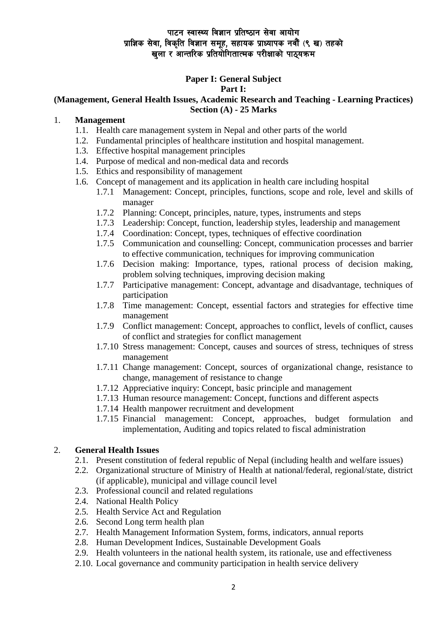# **Paper I: General Subject**

### **Part I:**

#### **(Management, General Health Issues, Academic Research and Teaching - Learning Practices) Section (A) - 25 Marks**

### 1. **Management**

- 1.1. Health care management system in Nepal and other parts of the world
- 1.2. Fundamental principles of healthcare institution and hospital management.
- 1.3. Effective hospital management principles
- 1.4. Purpose of medical and non-medical data and records
- 1.5. Ethics and responsibility of management
- 1.6. Concept of management and its application in health care including hospital
	- 1.7.1 Management: Concept, principles, functions, scope and role, level and skills of manager
	- 1.7.2 Planning: Concept, principles, nature, types, instruments and steps
	- 1.7.3 Leadership: Concept, function, leadership styles, leadership and management
	- 1.7.4 Coordination: Concept, types, techniques of effective coordination
	- 1.7.5 Communication and counselling: Concept, communication processes and barrier to effective communication, techniques for improving communication
	- 1.7.6 Decision making: Importance, types, rational process of decision making, problem solving techniques, improving decision making
	- 1.7.7 Participative management: Concept, advantage and disadvantage, techniques of participation
	- 1.7.8 Time management: Concept, essential factors and strategies for effective time management
	- 1.7.9 Conflict management: Concept, approaches to conflict, levels of conflict, causes of conflict and strategies for conflict management
	- 1.7.10 Stress management: Concept, causes and sources of stress, techniques of stress management
	- 1.7.11 Change management: Concept, sources of organizational change, resistance to change, management of resistance to change
	- 1.7.12 Appreciative inquiry: Concept, basic principle and management
	- 1.7.13 Human resource management: Concept, functions and different aspects
	- 1.7.14 Health manpower recruitment and development
	- 1.7.15 Financial management: Concept, approaches, budget formulation and implementation, Auditing and topics related to fiscal administration

### 2. **General Health Issues**

- 2.1. Present constitution of federal republic of Nepal (including health and welfare issues)
- 2.2. Organizational structure of Ministry of Health at national/federal, regional/state, district (if applicable), municipal and village council level
- 2.3. Professional council and related regulations
- 2.4. National Health Policy
- 2.5. Health Service Act and Regulation
- 2.6. Second Long term health plan
- 2.7. Health Management Information System, forms, indicators, annual reports
- 2.8. Human Development Indices, Sustainable Development Goals
- 2.9. Health volunteers in the national health system, its rationale, use and effectiveness
- 2.10. Local governance and community participation in health service delivery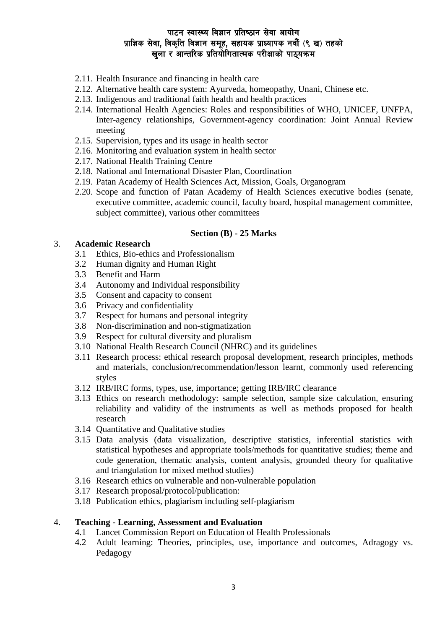- 2.11. Health Insurance and financing in health care
- 2.12. Alternative health care system: Ayurveda, homeopathy, Unani, Chinese etc.
- 2.13. Indigenous and traditional faith health and health practices
- 2.14. International Health Agencies: Roles and responsibilities of WHO, UNICEF, UNFPA, Inter-agency relationships, Government-agency coordination: Joint Annual Review meeting
- 2.15. Supervision, types and its usage in health sector
- 2.16. Monitoring and evaluation system in health sector
- 2.17. National Health Training Centre
- 2.18. National and International Disaster Plan, Coordination
- 2.19. Patan Academy of Health Sciences Act, Mission, Goals, Organogram
- 2.20. Scope and function of Patan Academy of Health Sciences executive bodies (senate, executive committee, academic council, faculty board, hospital management committee, subject committee), various other committees

#### **Section (B) - 25 Marks**

#### 3. **Academic Research**

- 3.1 Ethics, Bio-ethics and Professionalism
- 3.2 Human dignity and Human Right
- 3.3 Benefit and Harm
- 3.4 Autonomy and Individual responsibility
- 3.5 Consent and capacity to consent
- 3.6 Privacy and confidentiality
- 3.7 Respect for humans and personal integrity
- 3.8 Non-discrimination and non-stigmatization
- 3.9 Respect for cultural diversity and pluralism
- 3.10 National Health Research Council (NHRC) and its guidelines
- 3.11 Research process: ethical research proposal development, research principles, methods and materials, conclusion/recommendation/lesson learnt, commonly used referencing styles
- 3.12 IRB/IRC forms, types, use, importance; getting IRB/IRC clearance
- 3.13 Ethics on research methodology: sample selection, sample size calculation, ensuring reliability and validity of the instruments as well as methods proposed for health research
- 3.14 Quantitative and Qualitative studies
- 3.15 Data analysis (data visualization, descriptive statistics, inferential statistics with statistical hypotheses and appropriate tools/methods for quantitative studies; theme and code generation, thematic analysis, content analysis, grounded theory for qualitative and triangulation for mixed method studies)
- 3.16 Research ethics on vulnerable and non-vulnerable population
- 3.17 Research proposal/protocol/publication:
- 3.18 Publication ethics, plagiarism including self-plagiarism

#### 4. **Teaching - Learning, Assessment and Evaluation**

- 4.1 Lancet Commission Report on Education of Health Professionals
- 4.2 Adult learning: Theories, principles, use, importance and outcomes, Adragogy vs. Pedagogy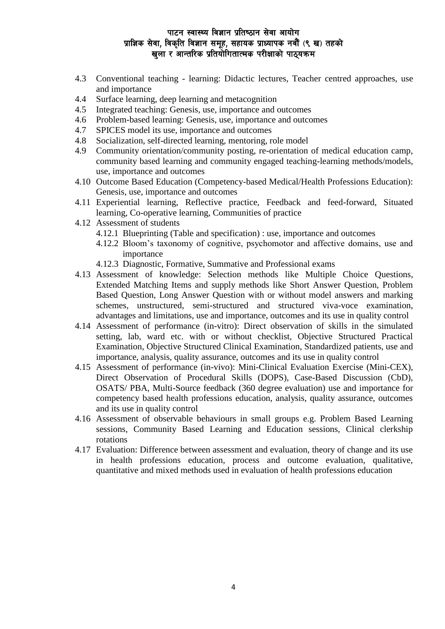- 4.3 Conventional teaching learning: Didactic lectures, Teacher centred approaches, use and importance
- 4.4 Surface learning, deep learning and metacognition
- 4.5 Integrated teaching: Genesis, use, importance and outcomes
- 4.6 Problem-based learning: Genesis, use, importance and outcomes
- 4.7 SPICES model its use, importance and outcomes
- 4.8 Socialization, self-directed learning, mentoring, role model
- 4.9 Community orientation/community posting, re-orientation of medical education camp, community based learning and community engaged teaching-learning methods/models, use, importance and outcomes
- 4.10 Outcome Based Education (Competency-based Medical/Health Professions Education): Genesis, use, importance and outcomes
- 4.11 Experiential learning, Reflective practice, Feedback and feed-forward, Situated learning, Co-operative learning, Communities of practice
- 4.12 Assessment of students
	- 4.12.1 Blueprinting (Table and specification) : use, importance and outcomes
	- 4.12.2 Bloom's taxonomy of cognitive, psychomotor and affective domains, use and importance
	- 4.12.3 Diagnostic, Formative, Summative and Professional exams
- 4.13 Assessment of knowledge: Selection methods like Multiple Choice Questions, Extended Matching Items and supply methods like Short Answer Question, Problem Based Question, Long Answer Question with or without model answers and marking schemes, unstructured, semi-structured and structured viva-voce examination, advantages and limitations, use and importance, outcomes and its use in quality control
- 4.14 Assessment of performance (in-vitro): Direct observation of skills in the simulated setting, lab, ward etc. with or without checklist, Objective Structured Practical Examination, Objective Structured Clinical Examination, Standardized patients, use and importance, analysis, quality assurance, outcomes and its use in quality control
- 4.15 Assessment of performance (in-vivo): Mini-Clinical Evaluation Exercise (Mini-CEX), Direct Observation of Procedural Skills (DOPS), Case-Based Discussion (CbD), OSATS/ PBA, Multi-Source feedback (360 degree evaluation) use and importance for competency based health professions education, analysis, quality assurance, outcomes and its use in quality control
- 4.16 Assessment of observable behaviours in small groups e.g. Problem Based Learning sessions, Community Based Learning and Education sessions, Clinical clerkship rotations
- 4.17 Evaluation: Difference between assessment and evaluation, theory of change and its use in health professions education, process and outcome evaluation, qualitative, quantitative and mixed methods used in evaluation of health professions education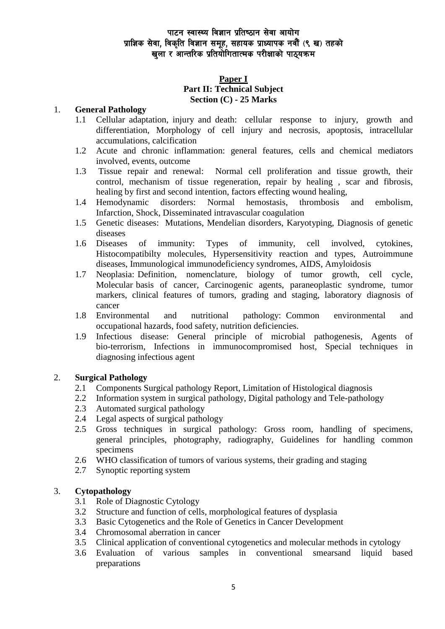### **Paper I Part II: Technical Subject Section (C) - 25 Marks**

### 1. **General Pathology**

- 1.1 Cellular adaptation, injury and death: cellular response to injury, growth and differentiation, Morphology of cell injury and necrosis, apoptosis, intracellular accumulations, calcification
- 1.2 Acute and chronic inflammation: general features, cells and chemical mediators involved, events, outcome
- 1.3 Tissue repair and renewal: Normal cell proliferation and tissue growth, their control, mechanism of tissue regeneration, repair by healing , scar and fibrosis, healing by first and second intention, factors effecting wound healing,
- 1.4 Hemodynamic disorders: Normal hemostasis, thrombosis and embolism, Infarction, Shock, Disseminated intravascular coagulation
- 1.5 Genetic diseases: Mutations, Mendelian disorders, Karyotyping, Diagnosis of genetic diseases
- 1.6 Diseases of immunity: Types of immunity, cell involved, cytokines, Histocompatibilty molecules, Hypersensitivity reaction and types, Autroimmune diseases, Immunological immunodeficiency syndromes, AIDS, Amyloidosis
- 1.7 Neoplasia: Definition, nomenclature, biology of tumor growth, cell cycle, Molecular basis of cancer, Carcinogenic agents, paraneoplastic syndrome, tumor markers, clinical features of tumors, grading and staging, laboratory diagnosis of cancer
- 1.8 Environmental and nutritional pathology: Common environmental and occupational hazards, food safety, nutrition deficiencies.
- 1.9 Infectious disease: General principle of microbial pathogenesis, Agents of bio-terrorism, Infections in immunocompromised host, Special techniques in diagnosing infectious agent

### 2. **Surgical Pathology**

- 2.1 Components Surgical pathology Report, Limitation of Histological diagnosis
- 2.2 Information system in surgical pathology, Digital pathology and Tele-pathology
- 2.3 Automated surgical pathology
- 2.4 Legal aspects of surgical pathology
- 2.5 Gross techniques in surgical pathology: Gross room, handling of specimens, general principles, photography, radiography, Guidelines for handling common specimens
- 2.6 WHO classification of tumors of various systems, their grading and staging
- 2.7 Synoptic reporting system

#### 3. **Cytopathology**

- 3.1 Role of Diagnostic Cytology
- 3.2 Structure and function of cells, morphological features of dysplasia
- 3.3 Basic Cytogenetics and the Role of Genetics in Cancer Development
- 3.4 Chromosomal aberration in cancer
- 3.5 Clinical application of conventional cytogenetics and molecular methods in cytology<br>3.6 Evaluation of various samples in conventional smearsand liquid bas
- 3.6 Evaluation of various samples in conventional smearsand liquid based preparations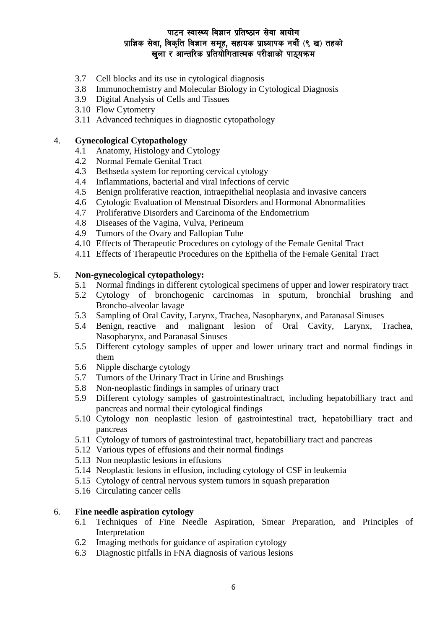- 3.7 Cell blocks and its use in cytological diagnosis
- 3.8 Immunochemistry and Molecular Biology in Cytological Diagnosis
- 3.9 Digital Analysis of Cells and Tissues
- 3.10 Flow Cytometry
- 3.11 Advanced techniques in diagnostic cytopathology

#### 4. **Gynecological Cytopathology**

- 4.1 Anatomy, Histology and Cytology
- 4.2 Normal Female Genital Tract
- 4.3 Bethseda system for reporting cervical cytology
- 4.4 Inflammations, bacterial and viral infections of cervic
- 4.5 Benign proliferative reaction, intraepithelial neoplasia and invasive cancers
- 4.6 Cytologic Evaluation of Menstrual Disorders and Hormonal Abnormalities
- 4.7 Proliferative Disorders and Carcinoma of the Endometrium
- 4.8 Diseases of the Vagina, Vulva, Perineum
- 4.9 Tumors of the Ovary and Fallopian Tube
- 4.10 Effects of Therapeutic Procedures on cytology of the Female Genital Tract
- 4.11 Effects of Therapeutic Procedures on the Epithelia of the Female Genital Tract

#### 5. **Non-gynecological cytopathology:**

- 5.1 Normal findings in different cytological specimens of upper and lower respiratory tract
- 5.2 Cytology of bronchogenic carcinomas in sputum, bronchial brushing and Broncho-alveolar lavage
- 5.3 Sampling of Oral Cavity, Larynx, Trachea, Nasopharynx, and Paranasal Sinuses
- 5.4 Benign, reactive and malignant lesion of Oral Cavity, Larynx, Trachea, Nasopharynx, and Paranasal Sinuses
- 5.5 Different cytology samples of upper and lower urinary tract and normal findings in them
- 5.6 Nipple discharge cytology
- 5.7 Tumors of the Urinary Tract in Urine and Brushings
- 5.8 Non-neoplastic findings in samples of urinary tract
- 5.9 Different cytology samples of gastrointestinaltract, including hepatobilliary tract and pancreas and normal their cytological findings
- 5.10 Cytology non neoplastic lesion of gastrointestinal tract, hepatobilliary tract and pancreas
- 5.11 Cytology of tumors of gastrointestinal tract, hepatobilliary tract and pancreas
- 5.12 Various types of effusions and their normal findings
- 5.13 Non neoplastic lesions in effusions
- 5.14 Neoplastic lesions in effusion, including cytology of CSF in leukemia
- 5.15 Cytology of central nervous system tumors in squash preparation
- 5.16 Circulating cancer cells

### 6. **Fine needle aspiration cytology**

- 6.1 Techniques of Fine Needle Aspiration, Smear Preparation, and Principles of Interpretation
- 6.2 Imaging methods for guidance of aspiration cytology
- 6.3 Diagnostic pitfalls in FNA diagnosis of various lesions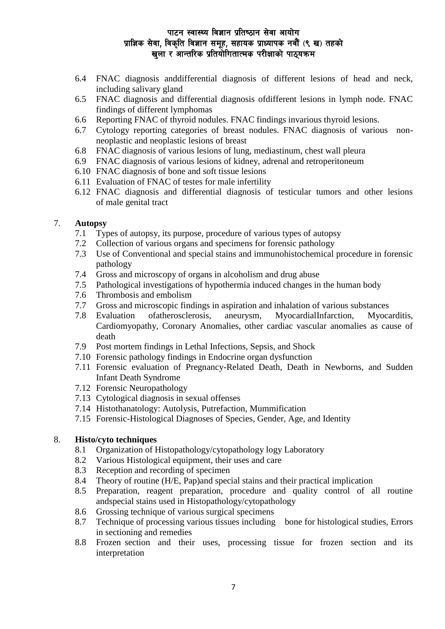- 6.4 FNAC diagnosis anddifferential diagnosis of different lesions of head and neck, including salivary gland
- 6.5 FNAC diagnosis and differential diagnosis ofdifferent lesions in lymph node. FNAC findings of different lymphomas
- 6.6 Reporting FNAC of thyroid nodules. FNAC findings invarious thyroid lesions.
- 6.7 Cytology reporting categories of breast nodules. FNAC diagnosis of various nonneoplastic and neoplastic lesions of breast
- 6.8 FNAC diagnosis of various lesions of lung, mediastinum, chest wall pleura
- 6.9 FNAC diagnosis of various lesions of kidney, adrenal and retroperitoneum
- 6.10 FNAC diagnosis of bone and soft tissue lesions
- 6.11 Evaluation of FNAC of testes for male infertility
- 6.12 FNAC diagnosis and differential diagnosis of testicular tumors and other lesions of male genital tract

#### 7. **Autopsy**

- 7.1 Types of autopsy, its purpose, procedure of various types of autopsy
- 7.2 Collection of various organs and specimens for forensic pathology
- 7.3 Use of Conventional and special stains and immunohistochemical procedure in forensic pathology
- 7.4 Gross and microscopy of organs in alcoholism and drug abuse
- 7.5 Pathological investigations of hypothermia induced changes in the human body
- 7.6 Thrombosis and embolism
- 7.7 Gross and microscopic findings in aspiration and inhalation of various substances
- 7.8 Evaluation ofatherosclerosis, aneurysm, MyocardialInfarction, Myocarditis, Cardiomyopathy, Coronary Anomalies, other cardiac vascular anomalies as cause of death
- 7.9 Post mortem findings in Lethal Infections, Sepsis, and Shock
- 7.10 Forensic pathology findings in Endocrine organ dysfunction
- 7.11 Forensic evaluation of Pregnancy-Related Death, Death in Newborns, and Sudden Infant Death Syndrome
- 7.12 Forensic Neuropathology
- 7.13 Cytological diagnosis in sexual offenses
- 7.14 Histothanatology: Autolysis, Putrefaction, Mummification
- 7.15 Forensic-Histological Diagnoses of Species, Gender, Age, and Identity

#### 8. **Histo/cyto techniques**

- 8.1 Organization of Histopathology/cytopathology logy Laboratory
- 8.2 Various Histological equipment, their uses and care
- 8.3 Reception and recording of specimen
- 8.4 Theory of routine (H/E, Pap)and special stains and their practical implication
- 8.5 Preparation, reagent preparation, procedure and quality control of all routine andspecial stains used in Histopathology/cytopathology
- 8.6 Grossing technique of various surgical specimens
- 8.7 Technique of processing various tissues including bone for histological studies, Errors in sectioning and remedies
- 8.8 Frozen section and their uses, processing tissue for frozen section and its interpretation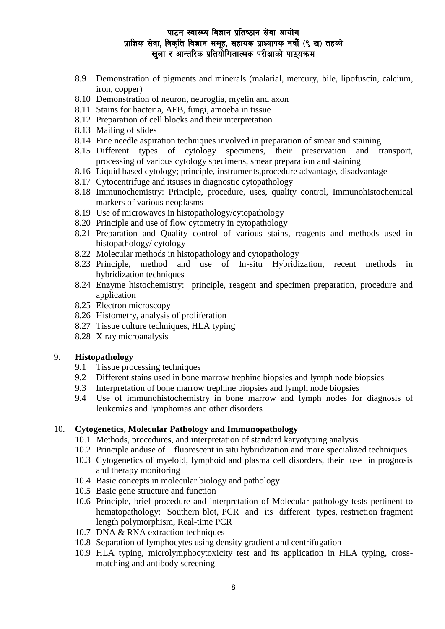- 8.9 Demonstration of pigments and minerals (malarial, mercury, bile, lipofuscin, calcium, iron, copper)
- 8.10 Demonstration of neuron, neuroglia, myelin and axon
- 8.11 Stains for bacteria, AFB, fungi, amoeba in tissue
- 8.12 Preparation of cell blocks and their interpretation
- 8.13 Mailing of slides
- 8.14 Fine needle aspiration techniques involved in preparation of smear and staining
- 8.15 Different types of cytology specimens, their preservation and transport, processing of various cytology specimens, smear preparation and staining
- 8.16 Liquid based cytology; principle, instruments,procedure advantage, disadvantage
- 8.17 Cytocentrifuge and itsuses in diagnostic cytopathology
- 8.18 Immunochemistry: Principle, procedure, uses, quality control, Immunohistochemical markers of various neoplasms
- 8.19 Use of microwaves in histopathology/cytopathology
- 8.20 Principle and use of flow cytometry in cytopathology
- 8.21 Preparation and Quality control of various stains, reagents and methods used in histopathology/ cytology
- 8.22 Molecular methods in histopathology and cytopathology
- 8.23 Principle, method and use of In-situ Hybridization, recent methods in hybridization techniques
- 8.24 Enzyme histochemistry: principle, reagent and specimen preparation, procedure and application
- 8.25 Electron microscopy
- 8.26 Histometry, analysis of proliferation
- 8.27 Tissue culture techniques, HLA typing
- 8.28 X ray microanalysis

#### 9. **Histopathology**

- 9.1 Tissue processing techniques
- 9.2 Different stains used in bone marrow trephine biopsies and lymph node biopsies
- 9.3 Interpretation of bone marrow trephine biopsies and lymph node biopsies
- 9.4 Use of immunohistochemistry in bone marrow and lymph nodes for diagnosis of leukemias and lymphomas and other disorders

#### 10. **Cytogenetics, Molecular Pathology and Immunopathology**

- 10.1 Methods, procedures, and interpretation of standard karyotyping analysis
- 10.2 Principle anduse of fluorescent in situ hybridization and more specialized techniques
- 10.3 Cytogenetics of myeloid, lymphoid and plasma cell disorders, their use in prognosis and therapy monitoring
- 10.4 Basic concepts in molecular biology and pathology
- 10.5 Basic gene structure and function
- 10.6 Principle, brief procedure and interpretation of Molecular pathology tests pertinent to hematopathology: Southern blot, PCR and its different types, restriction fragment length polymorphism, Real-time PCR
- 10.7 DNA & RNA extraction techniques
- 10.8 Separation of lymphocytes using density gradient and centrifugation
- 10.9 HLA typing, microlymphocytoxicity test and its application in HLA typing, crossmatching and antibody screening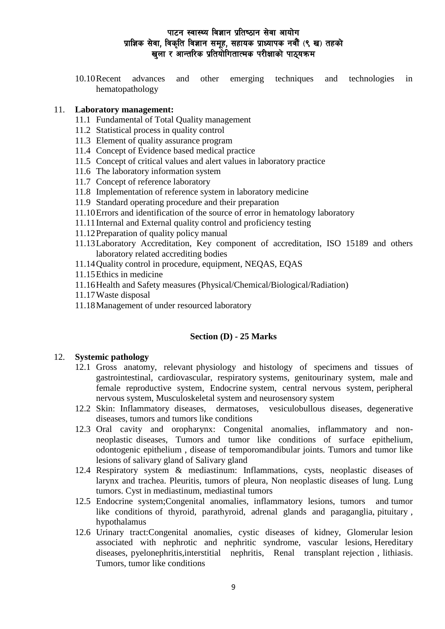10.10Recent advances and other emerging techniques and technologies in hematopathology

#### 11. **Laboratory management:**

- 11.1 Fundamental of Total Quality management
- 11.2 Statistical process in quality control
- 11.3 Element of quality assurance program
- 11.4 Concept of Evidence based medical practice
- 11.5 Concept of critical values and alert values in laboratory practice
- 11.6 The laboratory information system
- 11.7 Concept of reference laboratory
- 11.8 Implementation of reference system in laboratory medicine
- 11.9 Standard operating procedure and their preparation
- 11.10Errors and identification of the source of error in hematology laboratory
- 11.11Internal and External quality control and proficiency testing
- 11.12Preparation of quality policy manual
- 11.13Laboratory Accreditation, Key component of accreditation, ISO 15189 and others laboratory related accrediting bodies
- 11.14Quality control in procedure, equipment, NEQAS, EQAS
- 11.15Ethics in medicine
- 11.16Health and Safety measures (Physical/Chemical/Biological/Radiation)
- 11.17Waste disposal
- 11.18Management of under resourced laboratory

### **Section (D) - 25 Marks**

#### 12. **Systemic pathology**

- 12.1 Gross anatomy, relevant physiology and histology of specimens and tissues of gastrointestinal, cardiovascular, respiratory systems, genitourinary system, male and female reproductive system, Endocrine system, central nervous system, peripheral nervous system, Musculoskeletal system and neurosensory system
- 12.2 Skin: Inflammatory diseases, dermatoses, vesiculobullous diseases, degenerative diseases, tumors and tumors like conditions
- 12.3 Oral cavity and oropharynx: Congenital anomalies, inflammatory and nonneoplastic diseases, Tumors and tumor like conditions of surface epithelium, odontogenic epithelium , disease of temporomandibular joints. Tumors and tumor like lesions of salivary gland of Salivary gland
- 12.4 Respiratory system & mediastinum: Inflammations, cysts, neoplastic diseases of larynx and trachea. Pleuritis, tumors of pleura, Non neoplastic diseases of lung. Lung tumors. Cyst in mediastinum, mediastinal tumors
- 12.5 Endocrine system;Congenital anomalies, inflammatory lesions, tumors and tumor like conditions of thyroid, parathyroid, adrenal glands and paraganglia, pituitary , hypothalamus
- 12.6 Urinary tract:Congenital anomalies, cystic diseases of kidney, Glomerular lesion associated with nephrotic and nephritic syndrome, vascular lesions, Hereditary diseases, pyelonephritis,interstitial nephritis, Renal transplant rejection , lithiasis. Tumors, tumor like conditions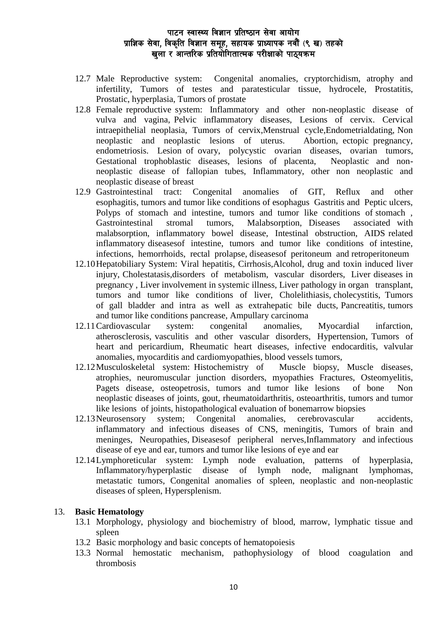- 12.7 Male Reproductive system: Congenital anomalies, cryptorchidism, atrophy and infertility, Tumors of testes and paratesticular tissue, hydrocele, Prostatitis, Prostatic, hyperplasia, Tumors of prostate
- 12.8 Female reproductive system: Inflammatory and other non-neoplastic disease of vulva and vagina, Pelvic inflammatory diseases, Lesions of cervix. Cervical intraepithelial neoplasia, Tumors of cervix,Menstrual cycle,Endometrialdating, Non neoplastic and neoplastic lesions of uterus. Abortion, ectopic pregnancy, endometriosis. Lesion of ovary, polycystic ovarian diseases, ovarian tumors, Gestational trophoblastic diseases, lesions of placenta, Neoplastic and nonneoplastic disease of fallopian tubes, Inflammatory, other non neoplastic and neoplastic disease of breast
- 12.9 Gastrointestinal tract: Congenital anomalies of GIT, Reflux and other esophagitis, tumors and tumor like conditions of esophagus Gastritis and Peptic ulcers, Polyps of stomach and intestine, tumors and tumor like conditions of stomach, Gastrointestinal stromal tumors, Malabsorption, Diseases associated with malabsorption, inflammatory bowel disease, Intestinal obstruction, AIDS related inflammatory diseasesof intestine, tumors and tumor like conditions of intestine, infections, hemorrhoids, rectal prolapse, diseasesof peritoneum and retroperitoneum
- 12.10Hepatobiliary System: Viral hepatitis, Cirrhosis,Alcohol, drug and toxin induced liver injury, Cholestatasis,disorders of metabolism, vascular disorders, Liver diseases in pregnancy , Liver involvement in systemic illness, Liver pathology in organ transplant, tumors and tumor like conditions of liver, Cholelithiasis, cholecystitis, Tumors of gall bladder and intra as well as extrahepatic bile ducts, Pancreatitis, tumors and tumor like conditions pancrease, Ampullary carcinoma
- 12.11Cardiovascular system: congenital anomalies, Myocardial infarction, atherosclerosis, vasculitis and other vascular disorders, Hypertension, Tumors of heart and pericardium, Rheumatic heart diseases, infective endocarditis, valvular anomalies, myocarditis and cardiomyopathies, blood vessels tumors,
- 12.12Musculoskeletal system: Histochemistry of Muscle biopsy, Muscle diseases, atrophies, neuromuscular junction disorders, myopathies Fractures, Osteomyelitis, Pagets disease, osteopetrosis, tumors and tumor like lesions of bone Non neoplastic diseases of joints, gout, rheumatoidarthritis, osteoarthritis, tumors and tumor like lesions of joints, histopathological evaluation of bonemarrow biopsies
- 12.13Neurosensory system; Congenital anomalies, cerebrovascular accidents, inflammatory and infectious diseases of CNS, meningitis, Tumors of brain and meninges, Neuropathies, Diseasesof peripheral nerves,Inflammatory and infectious disease of eye and ear, tumors and tumor like lesions of eye and ear
- 12.14Lymphoreticular system: Lymph node evaluation, patterns of hyperplasia, Inflammatory/hyperplastic disease of lymph node, malignant lymphomas, metastatic tumors, Congenital anomalies of spleen, neoplastic and non-neoplastic diseases of spleen, Hypersplenism.

#### 13. **Basic Hematology**

- 13.1 Morphology, physiology and biochemistry of blood, marrow, lymphatic tissue and spleen
- 13.2 Basic morphology and basic concepts of hematopoiesis
- 13.3 Normal hemostatic mechanism, pathophysiology of blood coagulation and thrombosis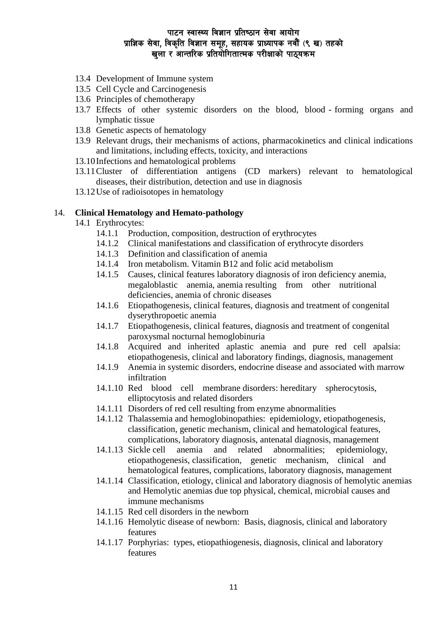- 13.4 Development of Immune system
- 13.5 Cell Cycle and Carcinogenesis
- 13.6 Principles of chemotherapy
- 13.7 Effects of other systemic disorders on the blood, blood forming organs and lymphatic tissue
- 13.8 Genetic aspects of hematology
- 13.9 Relevant drugs, their mechanisms of actions, pharmacokinetics and clinical indications and limitations, including effects, toxicity, and interactions
- 13.10Infections and hematological problems
- 13.11Cluster of differentiation antigens (CD markers) relevant to hematological diseases, their distribution, detection and use in diagnosis
- 13.12Use of radioisotopes in hematology

#### 14. **Clinical Hematology and Hemato-pathology**

- 14.1 Erythrocytes:
	- 14.1.1 Production, composition, destruction of erythrocytes
	- 14.1.2 Clinical manifestations and classification of erythrocyte disorders
	- 14.1.3 Definition and classification of anemia
	- 14.1.4 Iron metabolism. Vitamin B12 and folic acid metabolism
	- 14.1.5 Causes, clinical features laboratory diagnosis of iron deficiency anemia, megaloblastic anemia, anemia resulting from other nutritional deficiencies, anemia of chronic diseases
	- 14.1.6 Etiopathogenesis, clinical features, diagnosis and treatment of congenital dyserythropoetic anemia
	- 14.1.7 Etiopathogenesis, clinical features, diagnosis and treatment of congenital paroxysmal nocturnal hemoglobinuria
	- 14.1.8 Acquired and inherited aplastic anemia and pure red cell apalsia: etiopathogenesis, clinical and laboratory findings, diagnosis, management
	- 14.1.9 Anemia in systemic disorders, endocrine disease and associated with marrow infiltration
	- 14.1.10 Red blood cell membrane disorders: hereditary spherocytosis, elliptocytosis and related disorders
	- 14.1.11 Disorders of red cell resulting from enzyme abnormalities
	- 14.1.12 Thalassemia and hemoglobinopathies: epidemiology, etiopathogenesis, classification, genetic mechanism, clinical and hematological features, complications, laboratory diagnosis, antenatal diagnosis, management
	- 14.1.13 Sickle cell anemia and related abnormalities; epidemiology, etiopathogenesis, classification, genetic mechanism, clinical and hematological features, complications, laboratory diagnosis, management
	- 14.1.14 Classification, etiology, clinical and laboratory diagnosis of hemolytic anemias and Hemolytic anemias due top physical, chemical, microbial causes and immune mechanisms
	- 14.1.15 Red cell disorders in the newborn
	- 14.1.16 Hemolytic disease of newborn: Basis, diagnosis, clinical and laboratory features
	- 14.1.17 Porphyrias: types, etiopathiogenesis, diagnosis, clinical and laboratory features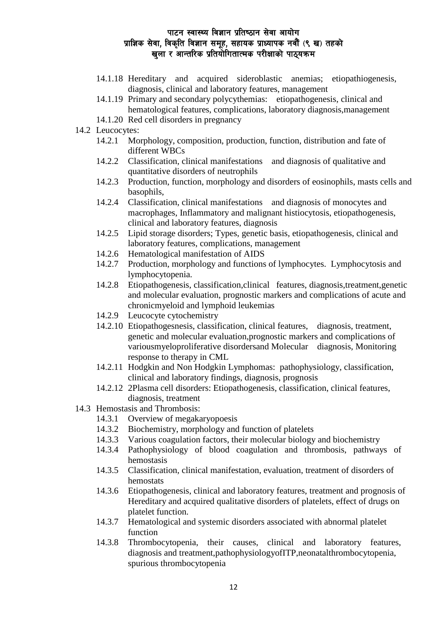- 14.1.18 Hereditary and acquired sideroblastic anemias; etiopathiogenesis, diagnosis, clinical and laboratory features, management
- 14.1.19 Primary and secondary polycythemias: etiopathogenesis, clinical and hematological features, complications, laboratory diagnosis,management
- 14.1.20 Red cell disorders in pregnancy
- 14.2 Leucocytes:
	- 14.2.1 Morphology, composition, production, function, distribution and fate of different WBCs
	- 14.2.2 Classification, clinical manifestations and diagnosis of qualitative and quantitative disorders of neutrophils
	- 14.2.3 Production, function, morphology and disorders of eosinophils, masts cells and basophils,
	- 14.2.4 Classification, clinical manifestations and diagnosis of monocytes and macrophages, Inflammatory and malignant histiocytosis, etiopathogenesis, clinical and laboratory features, diagnosis
	- 14.2.5 Lipid storage disorders; Types, genetic basis, etiopathogenesis, clinical and laboratory features, complications, management
	- 14.2.6 Hematological manifestation of AIDS
	- 14.2.7 Production, morphology and functions of lymphocytes. Lymphocytosis and lymphocytopenia.
	- 14.2.8 Etiopathogenesis, classification,clinical features, diagnosis,treatment,genetic and molecular evaluation, prognostic markers and complications of acute and chronicmyeloid and lymphoid leukemias
	- 14.2.9 Leucocyte cytochemistry
	- 14.2.10 Etiopathogesnesis, classification, clinical features, diagnosis, treatment, genetic and molecular evaluation,prognostic markers and complications of variousmyeloproliferative disordersand Molecular diagnosis, Monitoring response to therapy in CML
	- 14.2.11 Hodgkin and Non Hodgkin Lymphomas: pathophysiology, classification, clinical and laboratory findings, diagnosis, prognosis
	- 14.2.12 2Plasma cell disorders: Etiopathogenesis, classification, clinical features, diagnosis, treatment
- 14.3 Hemostasis and Thrombosis:
	- 14.3.1 Overview of megakaryopoesis
	- 14.3.2 Biochemistry, morphology and function of platelets
	- 14.3.3 Various coagulation factors, their molecular biology and biochemistry
	- 14.3.4 Pathophysiology of blood coagulation and thrombosis, pathways of hemostasis
	- 14.3.5 Classification, clinical manifestation, evaluation, treatment of disorders of hemostats
	- 14.3.6 Etiopathogenesis, clinical and laboratory features, treatment and prognosis of Hereditary and acquired qualitative disorders of platelets, effect of drugs on platelet function.
	- 14.3.7 Hematological and systemic disorders associated with abnormal platelet function
	- 14.3.8 Thrombocytopenia, their causes, clinical and laboratory features, diagnosis and treatment,pathophysiologyofITP,neonatalthrombocytopenia, spurious thrombocytopenia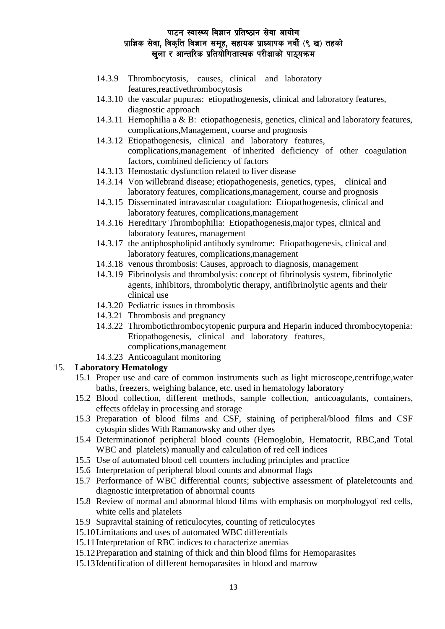- 14.3.9 Thrombocytosis, causes, clinical and laboratory features,reactivethrombocytosis
- 14.3.10 the vascular pupuras: etiopathogenesis, clinical and laboratory features, diagnostic approach
- 14.3.11 Hemophilia a & B: etiopathogenesis, genetics, clinical and laboratory features, complications,Management, course and prognosis
- 14.3.12 Etiopathogenesis, clinical and laboratory features, complications,management of inherited deficiency of other coagulation factors, combined deficiency of factors
- 14.3.13 Hemostatic dysfunction related to liver disease
- 14.3.14 Von willebrand disease; etiopathogenesis, genetics, types, clinical and laboratory features, complications,management, course and prognosis
- 14.3.15 Disseminated intravascular coagulation: Etiopathogenesis, clinical and laboratory features, complications,management
- 14.3.16 Hereditary Thrombophilia: Etiopathogenesis,major types, clinical and laboratory features, management
- 14.3.17 the antiphospholipid antibody syndrome: Etiopathogenesis, clinical and laboratory features, complications,management
- 14.3.18 venous thrombosis: Causes, approach to diagnosis, management
- 14.3.19 Fibrinolysis and thrombolysis: concept of fibrinolysis system, fibrinolytic agents, inhibitors, thrombolytic therapy, antifibrinolytic agents and their clinical use
- 14.3.20 Pediatric issues in thrombosis
- 14.3.21 Thrombosis and pregnancy
- 14.3.22 Thromboticthrombocytopenic purpura and Heparin induced thrombocytopenia: Etiopathogenesis, clinical and laboratory features, complications,management
- 14.3.23 Anticoagulant monitoring

### 15. **Laboratory Hematology**

- 15.1 Proper use and care of common instruments such as light microscope,centrifuge,water baths, freezers, weighing balance, etc. used in hematology laboratory
- 15.2 Blood collection, different methods, sample collection, anticoagulants, containers, effects ofdelay in processing and storage
- 15.3 Preparation of blood films and CSF, staining of peripheral/blood films and CSF cytospin slides With Ramanowsky and other dyes
- 15.4 Determinationof peripheral blood counts (Hemoglobin, Hematocrit, RBC,and Total WBC and platelets) manually and calculation of red cell indices
- 15.5 Use of automated blood cell counters including principles and practice
- 15.6 Interpretation of peripheral blood counts and abnormal flags
- 15.7 Performance of WBC differential counts; subjective assessment of plateletcounts and diagnostic interpretation of abnormal counts
- 15.8 Review of normal and abnormal blood films with emphasis on morphologyof red cells, white cells and platelets
- 15.9 Supravital staining of reticulocytes, counting of reticulocytes
- 15.10Limitations and uses of automated WBC differentials
- 15.11Interpretation of RBC indices to characterize anemias
- 15.12Preparation and staining of thick and thin blood films for Hemoparasites
- 15.13Identification of different hemoparasites in blood and marrow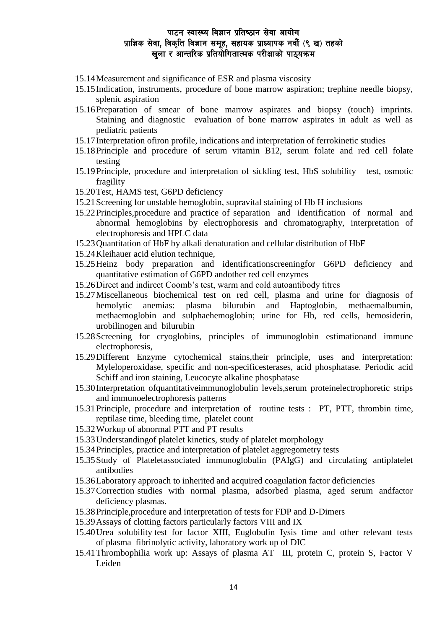- 15.14Measurement and significance of ESR and plasma viscosity
- 15.15Indication, instruments, procedure of bone marrow aspiration; trephine needle biopsy, splenic aspiration
- 15.16Preparation of smear of bone marrow aspirates and biopsy (touch) imprints. Staining and diagnostic evaluation of bone marrow aspirates in adult as well as pediatric patients
- 15.17Interpretation ofiron profile, indications and interpretation of ferrokinetic studies
- 15.18Principle and procedure of serum vitamin B12, serum folate and red cell folate testing
- 15.19Principle, procedure and interpretation of sickling test, HbS solubility test, osmotic fragility
- 15.20Test, HAMS test, G6PD deficiency
- 15.21Screening for unstable hemoglobin, supravital staining of Hb H inclusions
- 15.22Principles,procedure and practice of separation and identification of normal and abnormal hemoglobins by electrophoresis and chromatography, interpretation of electrophoresis and HPLC data
- 15.23Quantitation of HbF by alkali denaturation and cellular distribution of HbF
- 15.24Kleihauer acid elution technique,
- 15.25Heinz body preparation and identificationscreeningfor G6PD deficiency and quantitative estimation of G6PD andother red cell enzymes
- 15.26Direct and indirect Coomb's test, warm and cold autoantibody titres
- 15.27Miscellaneous biochemical test on red cell, plasma and urine for diagnosis of hemolytic anemias: plasma bilurubin and Haptoglobin, methaemalbumin, methaemoglobin and sulphaehemoglobin; urine for Hb, red cells, hemosiderin, urobilinogen and bilurubin
- 15.28Screening for cryoglobins, principles of immunoglobin estimationand immune electrophoresis,
- 15.29Different Enzyme cytochemical stains,their principle, uses and interpretation: Myleloperoxidase, specific and non-specificesterases, acid phosphatase. Periodic acid Schiff and iron staining, Leucocyte alkaline phosphatase
- 15.30Interpretation ofquantitativeimmunoglobulin levels,serum proteinelectrophoretic strips and immunoelectrophoresis patterns
- 15.31Principle, procedure and interpretation of routine tests : PT, PTT, thrombin time, reptilase time, bleeding time, platelet count
- 15.32Workup of abnormal PTT and PT results
- 15.33Understandingof platelet kinetics, study of platelet morphology
- 15.34Principles, practice and interpretation of platelet aggregometry tests
- 15.35Study of Plateletassociated immunoglobulin (PAIgG) and circulating antiplatelet antibodies
- 15.36Laboratory approach to inherited and acquired coagulation factor deficiencies
- 15.37Correction studies with normal plasma, adsorbed plasma, aged serum andfactor deficiency plasmas.
- 15.38Principle,procedure and interpretation of tests for FDP and D-Dimers
- 15.39Assays of clotting factors particularly factors VIII and IX
- 15.40Urea solubility test for factor XIII, Euglobulin Iysis time and other relevant tests of plasma fibrinolytic activity, laboratory work up of DIC
- 15.41Thrombophilia work up: Assays of plasma AT III, protein C, protein S, Factor V Leiden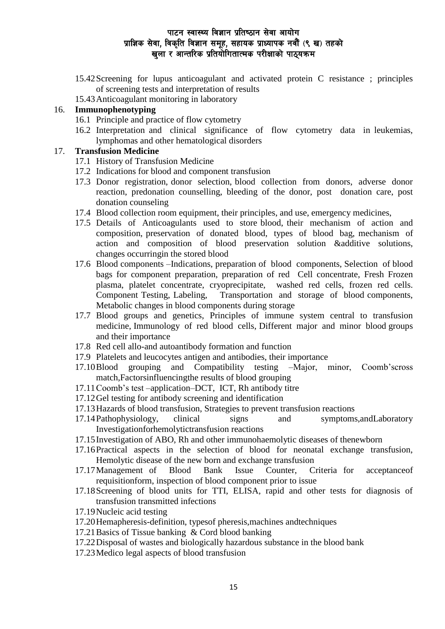- 15.42Screening for lupus anticoagulant and activated protein C resistance ; principles of screening tests and interpretation of results
- 15.43Anticoagulant monitoring in laboratory

# 16. **Immunophenotyping**

- 16.1 Principle and practice of flow cytometry
- 16.2 Interpretation and clinical significance of flow cytometry data in leukemias, lymphomas and other hematological disorders

#### 17. **Transfusion Medicine**

- 17.1 History of Transfusion Medicine
- 17.2 Indications for blood and component transfusion
- 17.3 Donor registration, donor selection, blood collection from donors, adverse donor reaction, predonation counselling, bleeding of the donor, post donation care, post donation counseling
- 17.4 Blood collection room equipment, their principles, and use, emergency medicines,
- 17.5 Details of Anticoagulants used to store blood, their mechanism of action and composition, preservation of donated blood, types of blood bag, mechanism of action and composition of blood preservation solution &additive solutions, changes occurringin the stored blood
- 17.6 Blood components –Indications, preparation of blood components, Selection of blood bags for component preparation, preparation of red Cell concentrate, Fresh Frozen plasma, platelet concentrate, cryoprecipitate, washed red cells, frozen red cells. Component Testing, Labeling, Transportation and storage of blood components, Metabolic changes in blood components during storage
- 17.7 Blood groups and genetics, Principles of immune system central to transfusion medicine, Immunology of red blood cells, Different major and minor blood groups and their importance
- 17.8 Red cell allo-and autoantibody formation and function
- 17.9 Platelets and leucocytes antigen and antibodies, their importance
- 17.10Blood grouping and Compatibility testing –Major, minor, Coomb'scross match,Factorsinfluencingthe results of blood grouping
- 17.11Coomb's test –application–DCT, ICT, Rh antibody titre
- 17.12Gel testing for antibody screening and identification
- 17.13Hazards of blood transfusion, Strategies to prevent transfusion reactions
- 17.14Pathophysiology, clinical signs and symptoms,andLaboratory Investigationforhemolytictransfusion reactions
- 17.15Investigation of ABO, Rh and other immunohaemolytic diseases of thenewborn
- 17.16Practical aspects in the selection of blood for neonatal exchange transfusion, Hemolytic disease of the new born and exchange transfusion
- 17.17Management of Blood Bank Issue Counter, Criteria for acceptanceof requisitionform, inspection of blood component prior to issue
- 17.18Screening of blood units for TTI, ELISA, rapid and other tests for diagnosis of transfusion transmitted infections
- 17.19Nucleic acid testing
- 17.20Hemapheresis-definition, typesof pheresis,machines andtechniques
- 17.21Basics of Tissue banking & Cord blood banking
- 17.22Disposal of wastes and biologically hazardous substance in the blood bank
- 17.23Medico legal aspects of blood transfusion